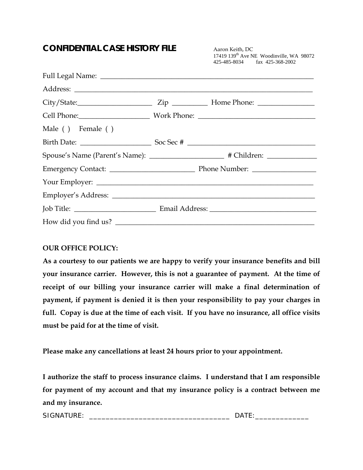### **CONFIDENTIAL CASE HISTORY FILE** Aaron Keith, DC

17419 139th Ave NE Woodinville, WA 98072 425-485-8034 fax 425-368-2002

|                   | City/State: <u>City/State:</u> Zip <u>City/State:</u> Home Phone: 2014 |  |
|-------------------|------------------------------------------------------------------------|--|
|                   |                                                                        |  |
| Male () Female () |                                                                        |  |
|                   |                                                                        |  |
|                   |                                                                        |  |
|                   |                                                                        |  |
|                   |                                                                        |  |
|                   |                                                                        |  |
|                   |                                                                        |  |
|                   | How did you find us?                                                   |  |

#### **OUR OFFICE POLICY:**

**As a courtesy to our patients we are happy to verify your insurance benefits and bill your insurance carrier. However, this is not a guarantee of payment. At the time of receipt of our billing your insurance carrier will make a final determination of payment, if payment is denied it is then your responsibility to pay your charges in full. Copay is due at the time of each visit. If you have no insurance, all office visits must be paid for at the time of visit.** 

**Please make any cancellations at least 24 hours prior to your appointment.** 

**I authorize the staff to process insurance claims. I understand that I am responsible for payment of my account and that my insurance policy is a contract between me and my insurance.** 

SIGNATURE: \_\_\_\_\_\_\_\_\_\_\_\_\_\_\_\_\_\_\_\_\_\_\_\_\_\_\_\_\_\_\_\_\_\_ DATE:\_\_\_\_\_\_\_\_\_\_\_\_\_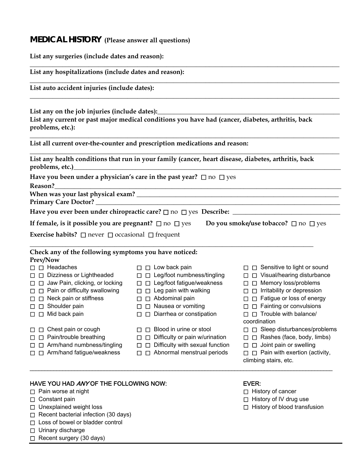## **MEDICAL HISTORY (Please answer all questions)**

| List any surgeries (include dates and reason):                                                                                                                                                                                                                                                                                                                                                                         |                                                                                                                                                                                                                                                                                                                                                                                                                                        |                                                                                                                                                                                                                                                                                                                                                                                                                                                   |  |
|------------------------------------------------------------------------------------------------------------------------------------------------------------------------------------------------------------------------------------------------------------------------------------------------------------------------------------------------------------------------------------------------------------------------|----------------------------------------------------------------------------------------------------------------------------------------------------------------------------------------------------------------------------------------------------------------------------------------------------------------------------------------------------------------------------------------------------------------------------------------|---------------------------------------------------------------------------------------------------------------------------------------------------------------------------------------------------------------------------------------------------------------------------------------------------------------------------------------------------------------------------------------------------------------------------------------------------|--|
| List any hospitalizations (include dates and reason):                                                                                                                                                                                                                                                                                                                                                                  |                                                                                                                                                                                                                                                                                                                                                                                                                                        |                                                                                                                                                                                                                                                                                                                                                                                                                                                   |  |
| List auto accident injuries (include dates):                                                                                                                                                                                                                                                                                                                                                                           |                                                                                                                                                                                                                                                                                                                                                                                                                                        |                                                                                                                                                                                                                                                                                                                                                                                                                                                   |  |
| List any on the job injuries (include dates):<br>problems, etc.):                                                                                                                                                                                                                                                                                                                                                      | List any current or past major medical conditions you have had (cancer, diabetes, arthritis, back                                                                                                                                                                                                                                                                                                                                      |                                                                                                                                                                                                                                                                                                                                                                                                                                                   |  |
|                                                                                                                                                                                                                                                                                                                                                                                                                        | List all current over-the-counter and prescription medications and reason:                                                                                                                                                                                                                                                                                                                                                             |                                                                                                                                                                                                                                                                                                                                                                                                                                                   |  |
| problems, etc.)<br>and the contract of the contract of the contract of the contract of the contract of the contract of the contract of the contract of the contract of the contract of the contract of the contract of the contr                                                                                                                                                                                       | List any health conditions that run in your family (cancer, heart disease, diabetes, arthritis, back                                                                                                                                                                                                                                                                                                                                   |                                                                                                                                                                                                                                                                                                                                                                                                                                                   |  |
| Reason?                                                                                                                                                                                                                                                                                                                                                                                                                | Have you been under a physician's care in the past year? $\Box$ no $\Box$ yes<br><u> 1989 - Andrea Santa Andrea Andrea Andrea Andrea Andrea Andrea Andrea Andrea Andrea Andrea Andrea Andrea Andr</u>                                                                                                                                                                                                                                  |                                                                                                                                                                                                                                                                                                                                                                                                                                                   |  |
|                                                                                                                                                                                                                                                                                                                                                                                                                        |                                                                                                                                                                                                                                                                                                                                                                                                                                        |                                                                                                                                                                                                                                                                                                                                                                                                                                                   |  |
|                                                                                                                                                                                                                                                                                                                                                                                                                        | If female, is it possible you are pregnant? $\Box$ no $\Box$ yes Do you smoke/use tobacco? $\Box$ no $\Box$ yes                                                                                                                                                                                                                                                                                                                        |                                                                                                                                                                                                                                                                                                                                                                                                                                                   |  |
| <b>Exercise habits?</b> $\Box$ never $\Box$ occasional $\Box$ frequent                                                                                                                                                                                                                                                                                                                                                 |                                                                                                                                                                                                                                                                                                                                                                                                                                        |                                                                                                                                                                                                                                                                                                                                                                                                                                                   |  |
| Check any of the following symptoms you have noticed:<br>Prev/Now                                                                                                                                                                                                                                                                                                                                                      |                                                                                                                                                                                                                                                                                                                                                                                                                                        |                                                                                                                                                                                                                                                                                                                                                                                                                                                   |  |
| $\square$ $\square$ Headaches<br>$\Box$ $\Box$ Dizziness or Lightheaded<br>□ □ Jaw Pain, clicking, or locking<br>$\Box$ $\Box$ Pain or difficulty swallowing<br>$\Box$ $\Box$ Neck pain or stiffness<br>$\Box$ $\Box$ Shoulder pain<br>$\Box$ $\Box$ Mid back pain<br>Chest pain or cough<br>ப<br>U<br>Pain/trouble breathing<br>П<br>П<br>Arm/hand numbness/tingling<br>□<br>□<br>Arm/hand fatigue/weakness<br>П<br>⊔ | $\Box$ $\Box$ Low back pain<br>$\Box$ $\Box$ Leg/foot numbness/tingling<br>$\Box$ $\Box$ Leg/foot fatigue/weakness<br>$\Box$ $\Box$ Leg pain with walking<br>$\Box$ $\Box$ Abdominal pain<br>$\Box$ Nausea or vomiting<br>$\Box$ Diarrhea or constipation<br>Blood in urine or stool<br>П<br>l I<br>Difficulty or pain w/urination<br>П<br>□<br>Difficulty with sexual function<br>$\Box$<br>□<br>Abnormal menstrual periods<br>□<br>П | $\Box$ $\Box$ Sensitive to light or sound<br>□ □ Visual/hearing disturbance<br>□ □ Memory loss/problems<br>$\Box$ $\Box$ Irritability or depression<br>□ □ Fatigue or loss of energy<br>$\Box$ $\Box$ Fainting or convulsions<br>$\Box$ $\Box$ Trouble with balance/<br>coordination<br>$\Box$ Sleep disturbances/problems<br>Rashes (face, body, limbs)<br>П.<br>$\Box$ Joint pain or swelling<br>□<br>$\Box$ Pain with exertion (activity,<br>□ |  |

\_\_\_\_\_\_\_\_\_\_\_\_\_\_\_\_\_\_\_\_\_\_\_\_\_\_\_\_\_\_\_\_\_\_\_\_\_\_\_\_\_\_\_\_\_\_\_\_\_\_\_\_\_\_\_\_\_\_\_\_\_\_\_\_\_\_\_\_\_\_\_\_\_\_\_\_\_\_\_\_\_\_\_\_\_\_\_\_\_\_\_\_\_\_\_\_\_\_\_\_\_\_

#### HAVE YOU HAD ANY OF THE FOLLOWING NOW: EVER:

- □ Pain worse at night  $□$  History of cancer
- 
- 
- □ Recent bacterial infection (30 days)
- □ Loss of bowel or bladder control
- □ Urinary discharge
- □ Recent surgery (30 days)
- 
- 
- □ Constant pain <br>□ History of IV drug use
- □ Unexplained weight loss <br>□ History of blood transfusion